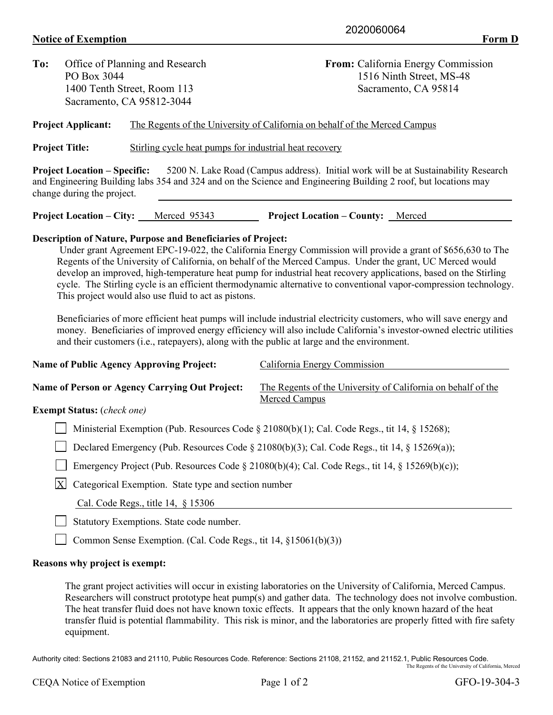## **Notice of Exemption** Form D

| To:                       | Office of Planning and Research                                                 |                                                                     | From: California Energy Commission                                                                                                                                                                     |  |  |  |
|---------------------------|---------------------------------------------------------------------------------|---------------------------------------------------------------------|--------------------------------------------------------------------------------------------------------------------------------------------------------------------------------------------------------|--|--|--|
|                           | PO Box 3044                                                                     |                                                                     | 1516 Ninth Street, MS-48                                                                                                                                                                               |  |  |  |
|                           | 1400 Tenth Street, Room 113                                                     |                                                                     | Sacramento, CA 95814                                                                                                                                                                                   |  |  |  |
| Sacramento, CA 95812-3044 |                                                                                 |                                                                     |                                                                                                                                                                                                        |  |  |  |
|                           | <b>Project Applicant:</b>                                                       |                                                                     | The Regents of the University of California on behalf of the Merced Campus                                                                                                                             |  |  |  |
|                           | Stirling cycle heat pumps for industrial heat recovery<br><b>Project Title:</b> |                                                                     |                                                                                                                                                                                                        |  |  |  |
|                           | <b>Project Location – Specific:</b><br>change during the project.               |                                                                     | 5200 N. Lake Road (Campus address). Initial work will be at Sustainability Research<br>and Engineering Building labs 354 and 324 and on the Science and Engineering Building 2 roof, but locations may |  |  |  |
|                           |                                                                                 | <b>Project Location – City:</b> Merced 95343                        | <b>Project Location – County:</b> Merced                                                                                                                                                               |  |  |  |
|                           |                                                                                 | <b>Description of Nature, Purpose and Beneficiaries of Project:</b> | Under grant Agreement EPC-19-022, the California Energy Commission will provide a grant of \$656,630 to The                                                                                            |  |  |  |

Under grant Agreement EPC-19-022, the California Energy Commission will provide a grant of \$656,630 to The Regents of the University of California, on behalf of the Merced Campus. Under the grant, UC Merced would develop an improved, high-temperature heat pump for industrial heat recovery applications, based on the Stirling cycle. The Stirling cycle is an efficient thermodynamic alternative to conventional vapor-compression technology. This project would also use fluid to act as pistons.

Beneficiaries of more efficient heat pumps will include industrial electricity customers, who will save energy and money. Beneficiaries of improved energy efficiency will also include California's investor-owned electric utilities and their customers (i.e., ratepayers), along with the public at large and the environment.

| <b>Name of Public Agency Approving Project:</b>                                                | California Energy Commission                                                  |  |  |  |  |
|------------------------------------------------------------------------------------------------|-------------------------------------------------------------------------------|--|--|--|--|
| Name of Person or Agency Carrying Out Project:<br><b>Exempt Status:</b> (check one)            | The Regents of the University of California on behalf of the<br>Merced Campus |  |  |  |  |
|                                                                                                |                                                                               |  |  |  |  |
| Ministerial Exemption (Pub. Resources Code § 21080(b)(1); Cal. Code Regs., tit 14, § 15268);   |                                                                               |  |  |  |  |
| Declared Emergency (Pub. Resources Code § 21080(b)(3); Cal. Code Regs., tit 14, § 15269(a));   |                                                                               |  |  |  |  |
| Emergency Project (Pub. Resources Code § 21080(b)(4); Cal. Code Regs., tit 14, § 15269(b)(c)); |                                                                               |  |  |  |  |
| X<br>Categorical Exemption. State type and section number                                      |                                                                               |  |  |  |  |
| Cal. Code Regs., title $14, \S 15306$                                                          |                                                                               |  |  |  |  |

Statutory Exemptions. State code number.

Common Sense Exemption. (Cal. Code Regs., tit 14, §15061(b)(3))

## **Reasons why project is exempt:**

The grant project activities will occur in existing laboratories on the University of California, Merced Campus. Researchers will construct prototype heat pump(s) and gather data. The technology does not involve combustion. The heat transfer fluid does not have known toxic effects. It appears that the only known hazard of the heat transfer fluid is potential flammability. This risk is minor, and the laboratories are properly fitted with fire safety equipment.

Authority cited: Sections 21083 and 21110, Public Resources Code. Reference: Sections 21108, 21152, and 21152.1, Public Resources Code. The Regents of the University of California, Merced